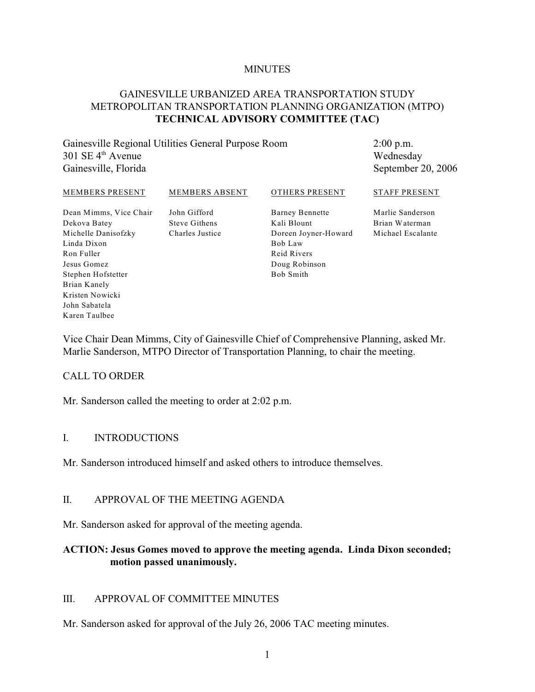#### **MINUTES**

## GAINESVILLE URBANIZED AREA TRANSPORTATION STUDY METROPOLITAN TRANSPORTATION PLANNING ORGANIZATION (MTPO) **TECHNICAL ADVISORY COMMITTEE (TAC)**

Gainesville Regional Utilities General Purpose Room  $301$  SE  $4<sup>th</sup>$  Avenue Gainesville, Florida

2:00 p.m. Wednesday September 20, 2006

#### MEMBERS PRESENT

MEMBERS ABSENT

## OTHERS PRESENT

Dean Mimms, Vice Chair Dekova Batey Michelle Danisofzky Linda Dixon Ron Fuller Jesus Gomez Stephen Hofstetter Brian Kanely Kristen Nowicki John Sabatela Karen Taulbee

John Gifford Steve Githens Charles Justice Barney Bennette Kali Blount Doreen Joyner-Howard Bob Law Reid Rivers Doug Robinson Bob Smith

Marlie Sanderson Brian Waterman Michael Escalante

STAFF PRESENT

Vice Chair Dean Mimms, City of Gainesville Chief of Comprehensive Planning, asked Mr. Marlie Sanderson, MTPO Director of Transportation Planning, to chair the meeting.

#### CALL TO ORDER

Mr. Sanderson called the meeting to order at 2:02 p.m.

#### I. INTRODUCTIONS

Mr. Sanderson introduced himself and asked others to introduce themselves.

### II. APPROVAL OF THE MEETING AGENDA

Mr. Sanderson asked for approval of the meeting agenda.

### **ACTION: Jesus Gomes moved to approve the meeting agenda. Linda Dixon seconded; motion passed unanimously.**

#### III. APPROVAL OF COMMITTEE MINUTES

Mr. Sanderson asked for approval of the July 26, 2006 TAC meeting minutes.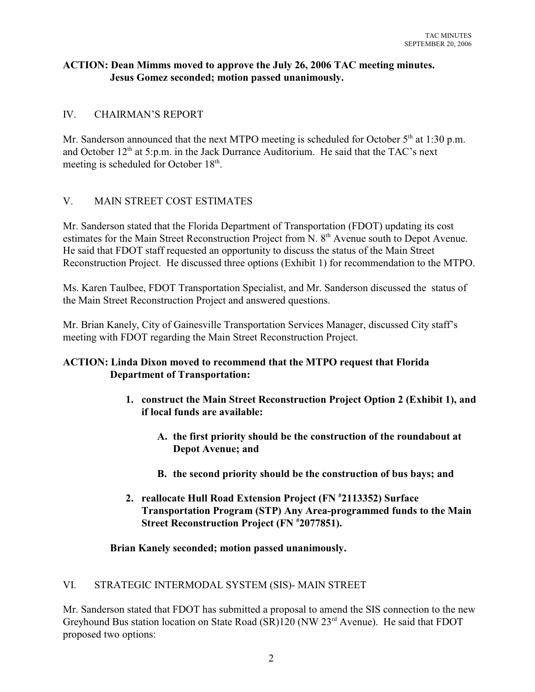## **ACTION: Dean Mimms moved to approve the July 26, 2006 TAC meeting minutes. Jesus Gomez seconded; motion passed unanimously.**

# IV. CHAIRMAN'S REPORT

Mr. Sanderson announced that the next MTPO meeting is scheduled for October  $5<sup>th</sup>$  at 1:30 p.m. and October  $12<sup>th</sup>$  at 5:p.m. in the Jack Durrance Auditorium. He said that the TAC's next meeting is scheduled for October 18<sup>th</sup>.

# V. MAIN STREET COST ESTIMATES

Mr. Sanderson stated that the Florida Department of Transportation (FDOT) updating its cost estimates for the Main Street Reconstruction Project from N. 8<sup>th</sup> Avenue south to Depot Avenue. He said that FDOT staff requested an opportunity to discuss the status of the Main Street Reconstruction Project. He discussed three options (Exhibit 1) for recommendation to the MTPO.

Ms. Karen Taulbee, FDOT Transportation Specialist, and Mr. Sanderson discussed the status of the Main Street Reconstruction Project and answered questions.

Mr. Brian Kanely, City of Gainesville Transportation Services Manager, discussed City staff's meeting with FDOT regarding the Main Street Reconstruction Project.

## **ACTION: Linda Dixon moved to recommend that the MTPO request that Florida Department of Transportation:**

- **1. construct the Main Street Reconstruction Project Option 2 (Exhibit 1), and if local funds are available:**
	- **A. the first priority should be the construction of the roundabout at Depot Avenue; and**
	- **B. the second priority should be the construction of bus bays; and**
- **2. reallocate Hull Road Extension Project (FN**  $*2113352$ **) Surface Transportation Program (STP) Any Area-programmed funds to the Main Street Reconstruction Project (FN**  $*2077851$ **).**

## **Brian Kanely seconded; motion passed unanimously.**

## VI. STRATEGIC INTERMODAL SYSTEM (SIS)- MAIN STREET

Mr. Sanderson stated that FDOT has submitted a proposal to amend the SIS connection to the new Greyhound Bus station location on State Road  $(SR)120$  (NW  $23<sup>rd</sup>$  Avenue). He said that FDOT proposed two options: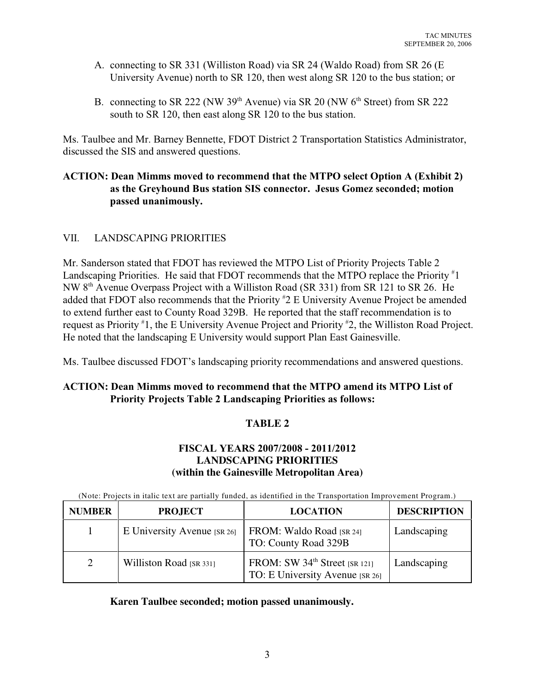- A. connecting to SR 331 (Williston Road) via SR 24 (Waldo Road) from SR 26 (E University Avenue) north to SR 120, then west along SR 120 to the bus station; or
- B. connecting to SR 222 (NW 39<sup>th</sup> Avenue) via SR 20 (NW  $6<sup>th</sup>$  Street) from SR 222 south to SR 120, then east along SR 120 to the bus station.

Ms. Taulbee and Mr. Barney Bennette, FDOT District 2 Transportation Statistics Administrator, discussed the SIS and answered questions.

## **ACTION: Dean Mimms moved to recommend that the MTPO select Option A (Exhibit 2) as the Greyhound Bus station SIS connector. Jesus Gomez seconded; motion passed unanimously.**

# VII. LANDSCAPING PRIORITIES

Mr. Sanderson stated that FDOT has reviewed the MTPO List of Priority Projects Table 2 Landscaping Priorities. He said that FDOT recommends that the MTPO replace the Priority #1 NW 8<sup>th</sup> Avenue Overpass Project with a Williston Road (SR 331) from SR 121 to SR 26. He added that FDOT also recommends that the Priority  $*2 \to U$ niversity Avenue Project be amended to extend further east to County Road 329B. He reported that the staff recommendation is to request as Priority  $*1$ , the E University Avenue Project and Priority  $*2$ , the Williston Road Project. He noted that the landscaping E University would support Plan East Gainesville.

Ms. Taulbee discussed FDOT's landscaping priority recommendations and answered questions.

## **ACTION: Dean Mimms moved to recommend that the MTPO amend its MTPO List of Priority Projects Table 2 Landscaping Priorities as follows:**

# **TABLE 2**

# **FISCAL YEARS 2007/2008 - 2011/2012 LANDSCAPING PRIORITIES (within the Gainesville Metropolitan Area)**

(Note: Projects in italic text are partially funded, as identified in the Transportation Improvement Program.)

| <b>NUMBER</b> | <b>PROJECT</b>              | <b>LOCATION</b>                                                              | <b>DESCRIPTION</b> |
|---------------|-----------------------------|------------------------------------------------------------------------------|--------------------|
|               | E University Avenue [SR 26] | FROM: Waldo Road [SR 24]<br>TO: County Road 329B                             | Landscaping        |
| 2             | Williston Road [SR 331]     | FROM: SW 34 <sup>th</sup> Street [SR 121]<br>TO: E University Avenue [SR 26] | Landscaping        |

**Karen Taulbee seconded; motion passed unanimously.**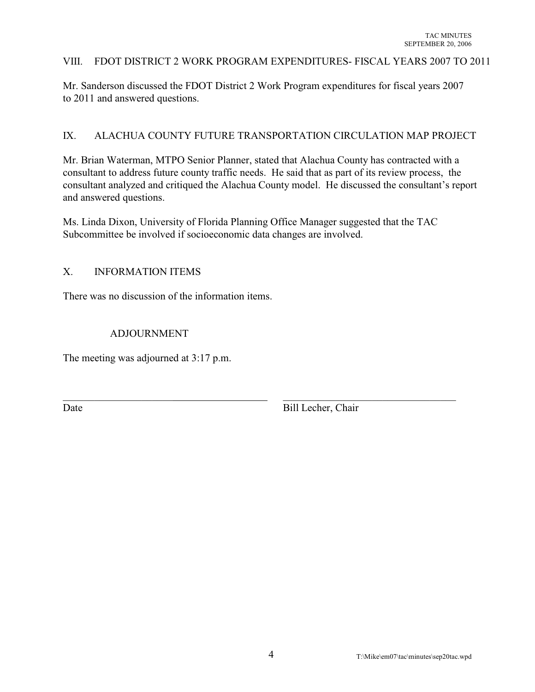#### VIII. FDOT DISTRICT 2 WORK PROGRAM EXPENDITURES- FISCAL YEARS 2007 TO 2011

Mr. Sanderson discussed the FDOT District 2 Work Program expenditures for fiscal years 2007 to 2011 and answered questions.

### IX. ALACHUA COUNTY FUTURE TRANSPORTATION CIRCULATION MAP PROJECT

Mr. Brian Waterman, MTPO Senior Planner, stated that Alachua County has contracted with a consultant to address future county traffic needs. He said that as part of its review process, the consultant analyzed and critiqued the Alachua County model. He discussed the consultant's report and answered questions.

Ms. Linda Dixon, University of Florida Planning Office Manager suggested that the TAC Subcommittee be involved if socioeconomic data changes are involved.

 $\_$  ,  $\_$  ,  $\_$  ,  $\_$  ,  $\_$  ,  $\_$  ,  $\_$  ,  $\_$  ,  $\_$  ,  $\_$  ,  $\_$  ,  $\_$  ,  $\_$  ,  $\_$  ,  $\_$  ,  $\_$  ,  $\_$  ,  $\_$  ,  $\_$  ,  $\_$  ,  $\_$  ,  $\_$  ,  $\_$  ,  $\_$  ,  $\_$  ,  $\_$  ,  $\_$  ,  $\_$  ,  $\_$  ,  $\_$  ,  $\_$  ,  $\_$  ,  $\_$  ,  $\_$  ,  $\_$  ,  $\_$  ,  $\_$  ,

### X. INFORMATION ITEMS

There was no discussion of the information items.

### ADJOURNMENT

The meeting was adjourned at 3:17 p.m.

Date Bill Lecher, Chair